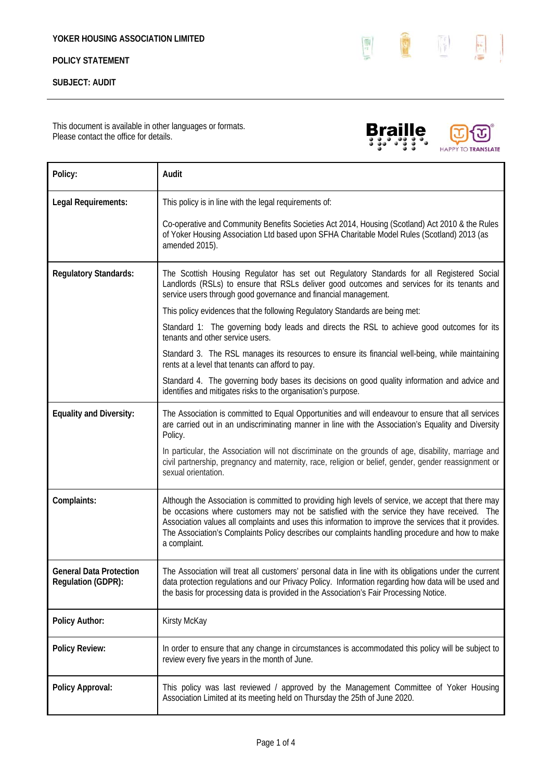# **POLICY STATEMENT**

## **SUBJECT: AUDIT**

This document is available in other languages or formats. Please contact the office for details.

| Policy:                                       | Audit                                                                                                                                                                                                                                                                                                                                                                                                                         |
|-----------------------------------------------|-------------------------------------------------------------------------------------------------------------------------------------------------------------------------------------------------------------------------------------------------------------------------------------------------------------------------------------------------------------------------------------------------------------------------------|
| Legal Requirements:                           | This policy is in line with the legal requirements of:                                                                                                                                                                                                                                                                                                                                                                        |
|                                               | Co-operative and Community Benefits Societies Act 2014, Housing (Scotland) Act 2010 & the Rules<br>of Yoker Housing Association Ltd based upon SFHA Charitable Model Rules (Scotland) 2013 (as<br>amended 2015).                                                                                                                                                                                                              |
| <b>Regulatory Standards:</b>                  | The Scottish Housing Regulator has set out Regulatory Standards for all Registered Social<br>Landlords (RSLs) to ensure that RSLs deliver good outcomes and services for its tenants and<br>service users through good governance and financial management.                                                                                                                                                                   |
|                                               | This policy evidences that the following Regulatory Standards are being met:                                                                                                                                                                                                                                                                                                                                                  |
|                                               | Standard 1: The governing body leads and directs the RSL to achieve good outcomes for its<br>tenants and other service users.                                                                                                                                                                                                                                                                                                 |
|                                               | Standard 3. The RSL manages its resources to ensure its financial well-being, while maintaining<br>rents at a level that tenants can afford to pay.                                                                                                                                                                                                                                                                           |
|                                               | Standard 4. The governing body bases its decisions on good quality information and advice and<br>identifies and mitigates risks to the organisation's purpose.                                                                                                                                                                                                                                                                |
| <b>Equality and Diversity:</b>                | The Association is committed to Equal Opportunities and will endeavour to ensure that all services<br>are carried out in an undiscriminating manner in line with the Association's Equality and Diversity<br>Policy.                                                                                                                                                                                                          |
|                                               | In particular, the Association will not discriminate on the grounds of age, disability, marriage and<br>civil partnership, pregnancy and maternity, race, religion or belief, gender, gender reassignment or<br>sexual orientation.                                                                                                                                                                                           |
| Complaints:                                   | Although the Association is committed to providing high levels of service, we accept that there may<br>be occasions where customers may not be satisfied with the service they have received. The<br>Association values all complaints and uses this information to improve the services that it provides.<br>The Association's Complaints Policy describes our complaints handling procedure and how to make<br>a complaint. |
| General Data Protection<br>Regulation (GDPR): | The Association will treat all customers' personal data in line with its obligations under the current<br>data protection regulations and our Privacy Policy. Information regarding how data will be used and<br>the basis for processing data is provided in the Association's Fair Processing Notice.                                                                                                                       |
| <b>Policy Author:</b>                         | Kirsty McKay                                                                                                                                                                                                                                                                                                                                                                                                                  |
| <b>Policy Review:</b>                         | In order to ensure that any change in circumstances is accommodated this policy will be subject to<br>review every five years in the month of June.                                                                                                                                                                                                                                                                           |
| Policy Approval:                              | This policy was last reviewed / approved by the Management Committee of Yoker Housing<br>Association Limited at its meeting held on Thursday the 25th of June 2020.                                                                                                                                                                                                                                                           |





×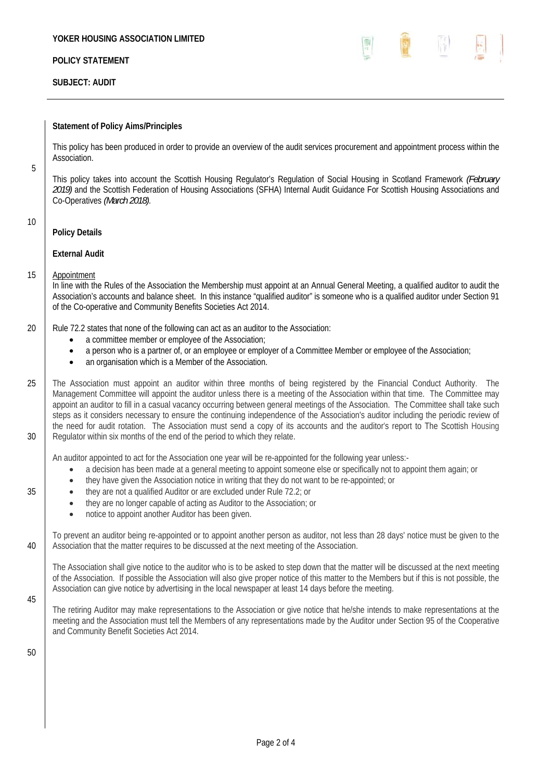### **YOKER HOUSING ASSOCIATION LIMITED**

## **POLICY STATEMENT**

## **SUBJECT: AUDIT**



### **Statement of Policy Aims/Principles**

This policy has been produced in order to provide an overview of the audit services procurement and appointment process within the Association.

This policy takes into account the Scottish Housing Regulator's Regulation of Social Housing in Scotland Framework *(February 2019)* and the Scottish Federation of Housing Associations (SFHA) Internal Audit Guidance For Scottish Housing Associations and Co-Operatives *(March 2018)*.

10

5

## **Policy Details**

### **External Audit**

### 15 Appointment

In line with the Rules of the Association the Membership must appoint at an Annual General Meeting, a qualified auditor to audit the Association's accounts and balance sheet. In this instance "qualified auditor" is someone who is a qualified auditor under Section 91 of the Co-operative and Community Benefits Societies Act 2014.

- 20 **Rule 72.2** states that none of the following can act as an auditor to the Association:
	- a committee member or employee of the Association;
	- a person who is a partner of, or an employee or employer of a Committee Member or employee of the Association;
	- an organisation which is a Member of the Association.
- 25 The Association must appoint an auditor within three months of being registered by the Financial Conduct Authority. The Management Committee will appoint the auditor unless there is a meeting of the Association within that time. The Committee may appoint an auditor to fill in a casual vacancy occurring between general meetings of the Association. The Committee shall take such steps as it considers necessary to ensure the continuing independence of the Association's auditor including the periodic review of the need for audit rotation. The Association must send a copy of its accounts and the auditor's report to The Scottish Housing 30 Regulator within six months of the end of the period to which they relate.

An auditor appointed to act for the Association one year will be re-appointed for the following year unless:-

- a decision has been made at a general meeting to appoint someone else or specifically not to appoint them again; or
- they have given the Association notice in writing that they do not want to be re-appointed; or
- 35 **they are not a qualified Auditor or are excluded under Rule 72.2; or** 
	- they are no longer capable of acting as Auditor to the Association; or
	- notice to appoint another Auditor has been given.

To prevent an auditor being re-appointed or to appoint another person as auditor, not less than 28 days' notice must be given to the 40 Association that the matter requires to be discussed at the next meeting of the Association.

The Association shall give notice to the auditor who is to be asked to step down that the matter will be discussed at the next meeting of the Association. If possible the Association will also give proper notice of this matter to the Members but if this is not possible, the Association can give notice by advertising in the local newspaper at least 14 days before the meeting.

45

The retiring Auditor may make representations to the Association or give notice that he/she intends to make representations at the meeting and the Association must tell the Members of any representations made by the Auditor under Section 95 of the Cooperative and Community Benefit Societies Act 2014.

50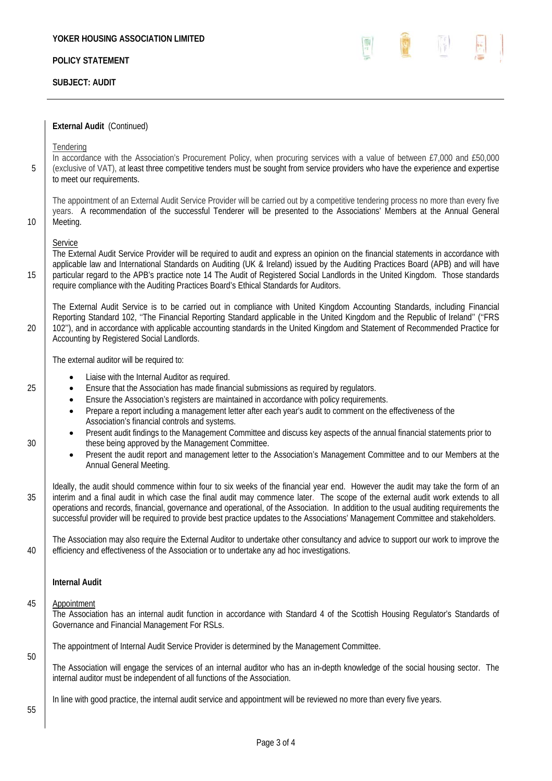# **POLICY STATEMENT**

## **SUBJECT: AUDIT**



**External Audit** (Continued)

**Tendering** 

In accordance with the Association's Procurement Policy, when procuring services with a value of between £7,000 and £50,000 5 (exclusive of VAT), at least three competitive tenders must be sought from service providers who have the experience and expertise to meet our requirements.

The appointment of an External Audit Service Provider will be carried out by a competitive tendering process no more than every five years. A recommendation of the successful Tenderer will be presented to the Associations' Members at the Annual General 10 Meeting.

**Service** 

The External Audit Service Provider will be required to audit and express an opinion on the financial statements in accordance with applicable law and International Standards on Auditing (UK & Ireland) issued by the Auditing Practices Board (APB) and will have 15 particular regard to the APB's practice note 14 The Audit of Registered Social Landlords in the United Kingdom. Those standards require compliance with the Auditing Practices Board's Ethical Standards for Auditors.

The External Audit Service is to be carried out in compliance with United Kingdom Accounting Standards, including Financial Reporting Standard 102, ''The Financial Reporting Standard applicable in the United Kingdom and the Republic of Ireland'' (''FRS 20 102"), and in accordance with applicable accounting standards in the United Kingdom and Statement of Recommended Practice for Accounting by Registered Social Landlords.

The external auditor will be required to:

- Liaise with the Internal Auditor as required.
- 25 **E** Ensure that the Association has made financial submissions as required by requiators.
	- Ensure the Association's registers are maintained in accordance with policy requirements.
	- Prepare a report including a management letter after each year's audit to comment on the effectiveness of the Association's financial controls and systems.
- Present audit findings to the Management Committee and discuss key aspects of the annual financial statements prior to 30 **these being approved by the Management Committee.** 
	- Present the audit report and management letter to the Association's Management Committee and to our Members at the Annual General Meeting.
- Ideally, the audit should commence within four to six weeks of the financial year end. However the audit may take the form of an 35 interim and a final audit in which case the final audit may commence later. The scope of the external audit work extends to all operations and records, financial, governance and operational, of the Association. In addition to the usual auditing requirements the successful provider will be required to provide best practice updates to the Associations' Management Committee and stakeholders.

The Association may also require the External Auditor to undertake other consultancy and advice to support our work to improve the 40 efficiency and effectiveness of the Association or to undertake any ad hoc investigations.

### **Internal Audit**

### 45 Appointment

The Association has an internal audit function in accordance with Standard 4 of the Scottish Housing Regulator's Standards of Governance and Financial Management For RSLs.

The appointment of Internal Audit Service Provider is determined by the Management Committee.

The Association will engage the services of an internal auditor who has an in-depth knowledge of the social housing sector. The internal auditor must be independent of all functions of the Association.

In line with good practice, the internal audit service and appointment will be reviewed no more than every five years.

55

50